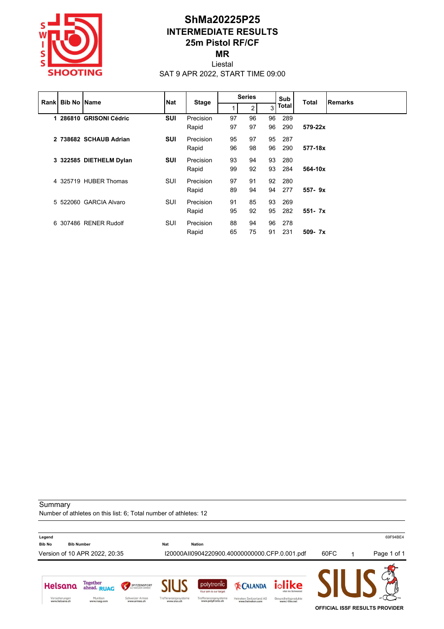

### **ShMa20225P25 INTERMEDIATE RESULTS 25m Pistol RF/CF MR**

Liestal

SAT 9 APR 2022, START TIME 09:00

|  | <b>Rank Bib No Name</b> |                         | <b>Nat</b> | <b>Stage</b> | <b>Series</b> |    |    | Sub<br>Total |            | <b>Remarks</b> |
|--|-------------------------|-------------------------|------------|--------------|---------------|----|----|--------------|------------|----------------|
|  |                         |                         |            |              | 4             | 2  | 3  | <b>Total</b> |            |                |
|  |                         | 1 286810 GRISONI Cédric | <b>SUI</b> | Precision    | 97            | 96 | 96 | 289          |            |                |
|  |                         |                         |            | Rapid        | 97            | 97 | 96 | 290          | 579-22x    |                |
|  |                         | 2 738682 SCHAUB Adrian  | <b>SUI</b> | Precision    | 95            | 97 | 95 | 287          |            |                |
|  |                         |                         |            | Rapid        | 96            | 98 | 96 | 290          | 577-18x    |                |
|  |                         | 3 322585 DIETHELM Dylan | <b>SUI</b> | Precision    | 93            | 94 | 93 | 280          |            |                |
|  |                         |                         |            | Rapid        | 99            | 92 | 93 | 284          | 564-10x    |                |
|  |                         | 4 325719 HUBER Thomas   | <b>SUI</b> | Precision    | 97            | 91 | 92 | - 280        |            |                |
|  |                         |                         |            | Rapid        | 89            | 94 | 94 | 277          | $557 - 9x$ |                |
|  |                         | 5 522060 GARCIA Alvaro  | SUI        | Precision    | 91            | 85 | 93 | 269          |            |                |
|  |                         |                         |            | Rapid        | 95            | 92 | 95 | 282          | $551 - 7x$ |                |
|  |                         | 6 307486 RENER Rudolf   | SUI        | Precision    | 88            | 94 | 96 | 278          |            |                |
|  |                         |                         |            | Rapid        | 65            | 75 | 91 | 231          | $509 - 7x$ |                |

**Summary** 

Number of athletes on this list: 6; Total number of athletes: 12

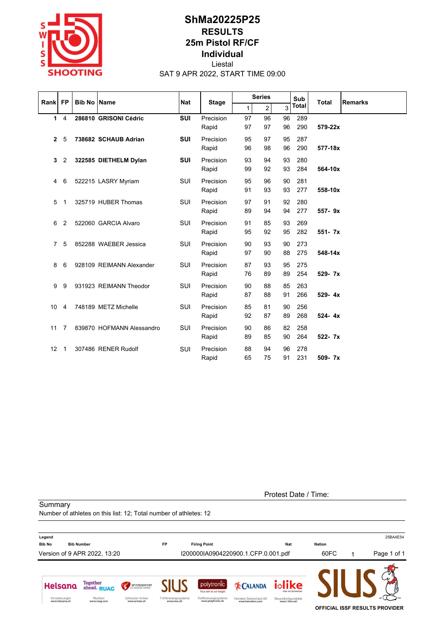

## **ShMa20225P25 RESULTS 25m Pistol RF/CF Individual** Liestal

SAT 9 APR 2022, START TIME 09:00

| Rank           | <b>FP</b>      |  | <b>Bib No Name</b>        | <b>Nat</b> | <b>Stage</b>       | <b>Series</b> |                |          | Sub          | <b>Total</b> | <b>Remarks</b> |
|----------------|----------------|--|---------------------------|------------|--------------------|---------------|----------------|----------|--------------|--------------|----------------|
|                |                |  |                           |            |                    | 1             | $\overline{2}$ | 3        | <b>Total</b> |              |                |
|                | $1 \quad 4$    |  | 286810 GRISONI Cédric     | <b>SUI</b> | Precision<br>Rapid | 97<br>97      | 96<br>97       | 96<br>96 | 289<br>290   | 579-22x      |                |
| $\mathbf{2}$   | -5             |  | 738682 SCHAUB Adrian      | <b>SUI</b> | Precision<br>Rapid | 95<br>96      | 97<br>98       | 95<br>96 | 287<br>290   | 577-18x      |                |
| 3              | 2              |  | 322585 DIETHELM Dylan     | <b>SUI</b> | Precision<br>Rapid | 93<br>99      | 94<br>92       | 93<br>93 | 280<br>284   | 564-10x      |                |
| $\overline{4}$ | 6              |  | 522215 LASRY Myriam       | SUI        | Precision<br>Rapid | 95<br>91      | 96<br>93       | 90<br>93 | 281<br>277   | 558-10x      |                |
| 5              | $\mathbf 1$    |  | 325719 HUBER Thomas       | <b>SUI</b> | Precision<br>Rapid | 97<br>89      | 91<br>94       | 92<br>94 | 280<br>277   | 557-9x       |                |
| 6              | 2              |  | 522060 GARCIA Alvaro      | SUI        | Precision<br>Rapid | 91<br>95      | 85<br>92       | 93<br>95 | 269<br>282   | 551- 7x      |                |
| $\overline{7}$ | 5              |  | 852288 WAEBER Jessica     | <b>SUI</b> | Precision<br>Rapid | 90<br>97      | 93<br>90       | 90<br>88 | 273<br>275   | 548-14x      |                |
| 8              | 6              |  | 928109 REIMANN Alexander  | <b>SUI</b> | Precision<br>Rapid | 87<br>76      | 93<br>89       | 95<br>89 | 275<br>254   | 529-7x       |                |
| 9              | 9              |  | 931923 REIMANN Theodor    | SUI        | Precision<br>Rapid | 90<br>87      | 88<br>88       | 85<br>91 | 263<br>266   | 529-4x       |                |
| 10             | 4              |  | 748189 METZ Michelle      | SUI        | Precision<br>Rapid | 85<br>92      | 81<br>87       | 90<br>89 | 256<br>268   | 524-4x       |                |
| 11             | $\overline{7}$ |  | 839870 HOFMANN Alessandro | SUI        | Precision<br>Rapid | 90<br>89      | 86<br>85       | 82<br>90 | 258<br>264   | 522- 7x      |                |
| 12             | $\overline{1}$ |  | 307486 RENER Rudolf       | <b>SUI</b> | Precision<br>Rapid | 88<br>65      | 94<br>75       | 96<br>91 | 278<br>231   | 509-7x       |                |

Protest Date / Time:

**Summary** Number of athletes on this list: 12; Total number of athletes: 12

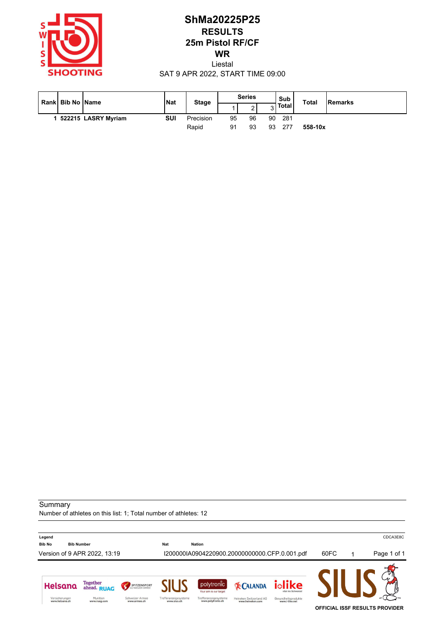

## **ShMa20225P25 RESULTS 25m Pistol RF/CF WR** Liestal

SAT 9 APR 2022, START TIME 09:00

|  | Rank Bib No Name    | <b>Nat</b> | <b>Stage</b> | <b>Series</b> |             |    | Sub          | <b>Total</b> | <b>Remarks</b> |
|--|---------------------|------------|--------------|---------------|-------------|----|--------------|--------------|----------------|
|  |                     |            |              |               | $\sim$<br>▵ | ື  | <b>Total</b> |              |                |
|  | 522215 LASRY Myriam | SUI        | Precision    | 95            | 96          | 90 | 281          |              |                |
|  |                     |            | Rapid        | 91            | 93          | 93 | 277          | 558-10x      |                |

#### **Summary**

Number of athletes on this list: 1; Total number of athletes: 12

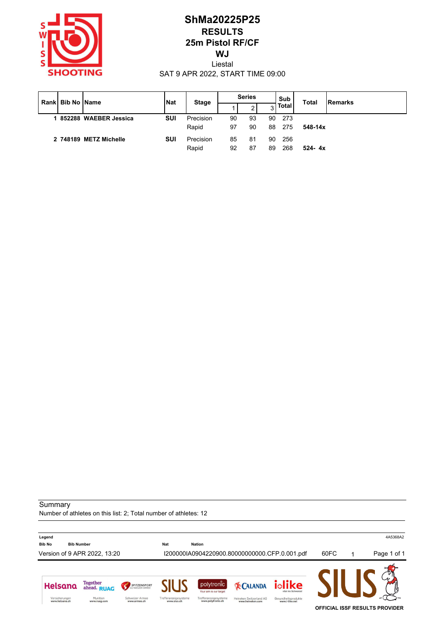

# **ShMa20225P25 RESULTS 25m Pistol RF/CF WJ**

Liestal SAT 9 APR 2022, START TIME 09:00

|  | l Rankl Bib No IName   | <b>INat</b> | <b>Stage</b>       | <b>Series</b> |          |          | Sub<br><b>Total</b> |             | Remarks |
|--|------------------------|-------------|--------------------|---------------|----------|----------|---------------------|-------------|---------|
|  |                        |             |                    |               | 2        | 3        | <b>Total</b>        |             |         |
|  | 852288 WAEBER Jessica  | SUI         | Precision<br>Rapid | 90<br>97      | 93<br>90 | 90<br>88 | -273<br>275         | $548 - 14x$ |         |
|  | 2 748189 METZ Michelle | SUI         | Precision<br>Rapid | 85<br>92      | 81<br>87 | 90<br>89 | 256<br>268          | $524 - 4x$  |         |

**Summary** 

Number of athletes on this list: 2; Total number of athletes: 12

**Legend** 4A5368A2 **Bib No Bib Number Nat Nation** Version of 9 APR 2022, 13:20 I200000IA0904220900.80000000000.CFP.0.001.pdf 60FC 1 Page 1 of 1 Helsana Together<br>ahead. RUAG iolike polytronic SPITZENSPORT **EX CALANDA** Your aim is our targe Versicherungen<br>www.helsana.ch Munition<br>www.ruag.com Schweizer Armee<br>www.armee.ch Trefferanzeigesysteme<br>www.sius.ch Trefferanzeigesysteme<br>www.polytronic.ch Heineken Switzerland AG<br>www.heineken.com Gesundheitsprodukte<br>www.i-like.net **OFFICIAL ISSF RESULTS PROVIDER**